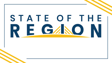# STATE OF THE RE GANO N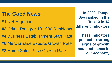## **The Good News**

- **#1** Net Migration
- **#2** Crime Rate per 100,000 Residents
- **#4** Business Establishment Start Rate
- **#6** Merchandise Exports Growth Rate
- **#8** Home Sales Price Growth Rate

**In 2020, Tampa Bay ranked in the Top 10 in 14 different indicators** 

**These indicators pointed to strong signs of growth and confidence in our economy**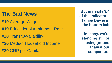## **The Bad News**

- **#19** Average Wage
- **#19** Educational Attainment Rate
- **#20** Transit Availability
- **#20** Median Household Income
- **#20** GRP per Capita

**But in nearly 3/4 of the indicators, Tampa Bay is in the bottom half**

**In many, we're standing still or losing ground against our competitors**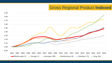## Gross Regional Product **Indexed**

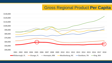## Gross Regional Product **Per Capita**

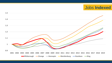## Jobs **Indexed**

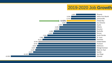## 2019-2020 Job **Growth**



**-12.92%**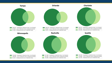

234,660 - Employed in Selection Area, Live Outside 109,483 - Live in Selection Area, Employed Outside 81,323 - Employed and Live in Selection Area

237,466 - Employed in Selection Area, Live Outside 120,345 - Live in Selection Area, Employed Outside 175,000 - Employed and Live in Selection Area

123,892 - Live in Selection Area, Employed Outside

217,525 - Employed and Live in Selection Area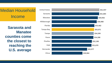## Median Household Income

**Sarasota and Manatee counties come the closest to reaching the U.S. average**

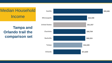## Median Household Income

## **Tampa and Orlando trail the comparison set**

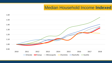#### Median Household Income **Indexed**

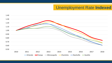## Unemployment Rate **Indexed**

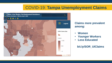#### COVID-19: **Tampa Unemployment Claims**



#### **Claims more prevalent among:**

- **Women**
- **Younger Workers**
- **Less Educated**

**bit.ly/SOR\_UIClaims**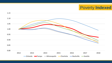## Poverty **Indexed**